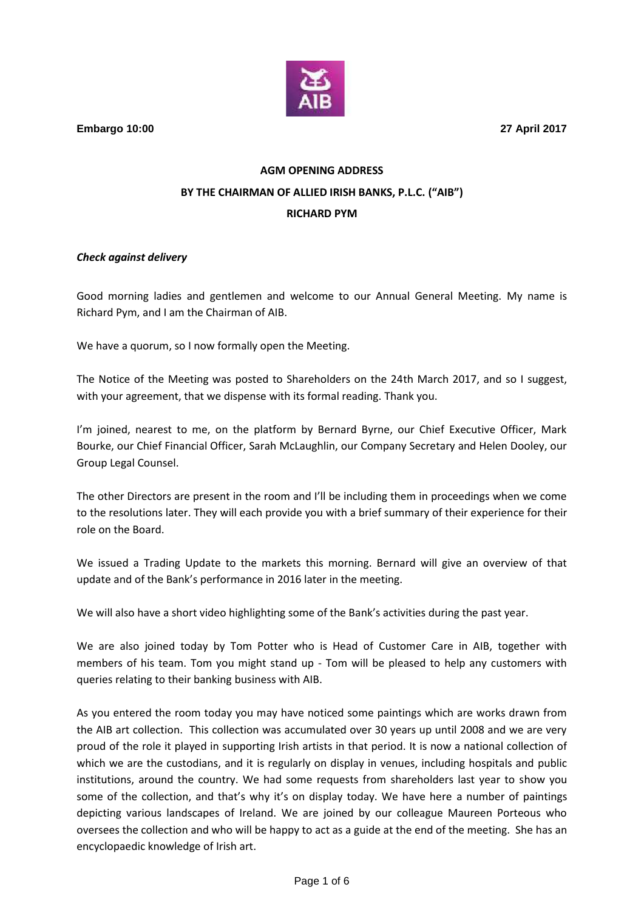**Embargo 10:00 27 April 2017**

## **AGM OPENING ADDRESS BY THE CHAIRMAN OF ALLIED IRISH BANKS, P.L.C. ("AIB") RICHARD PYM**

## *Check against delivery*

Good morning ladies and gentlemen and welcome to our Annual General Meeting. My name is Richard Pym, and I am the Chairman of AIB.

We have a quorum, so I now formally open the Meeting.

The Notice of the Meeting was posted to Shareholders on the 24th March 2017, and so I suggest, with your agreement, that we dispense with its formal reading. Thank you.

I'm joined, nearest to me, on the platform by Bernard Byrne, our Chief Executive Officer, Mark Bourke, our Chief Financial Officer, Sarah McLaughlin, our Company Secretary and Helen Dooley, our Group Legal Counsel.

The other Directors are present in the room and I'll be including them in proceedings when we come to the resolutions later. They will each provide you with a brief summary of their experience for their role on the Board.

We issued a Trading Update to the markets this morning. Bernard will give an overview of that update and of the Bank's performance in 2016 later in the meeting.

We will also have a short video highlighting some of the Bank's activities during the past year.

We are also joined today by Tom Potter who is Head of Customer Care in AIB, together with members of his team. Tom you might stand up - Tom will be pleased to help any customers with queries relating to their banking business with AIB.

As you entered the room today you may have noticed some paintings which are works drawn from the AIB art collection. This collection was accumulated over 30 years up until 2008 and we are very proud of the role it played in supporting Irish artists in that period. It is now a national collection of which we are the custodians, and it is regularly on display in venues, including hospitals and public institutions, around the country. We had some requests from shareholders last year to show you some of the collection, and that's why it's on display today. We have here a number of paintings depicting various landscapes of Ireland. We are joined by our colleague Maureen Porteous who oversees the collection and who will be happy to act as a guide at the end of the meeting. She has an encyclopaedic knowledge of Irish art.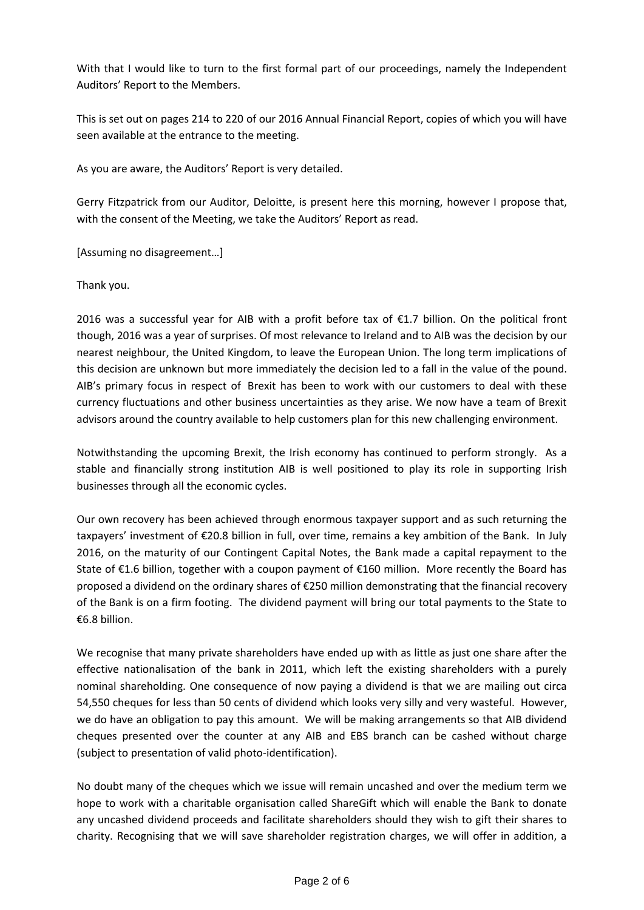With that I would like to turn to the first formal part of our proceedings, namely the Independent Auditors' Report to the Members.

This is set out on pages 214 to 220 of our 2016 Annual Financial Report, copies of which you will have seen available at the entrance to the meeting.

As you are aware, the Auditors' Report is very detailed.

Gerry Fitzpatrick from our Auditor, Deloitte, is present here this morning, however I propose that, with the consent of the Meeting, we take the Auditors' Report as read.

[Assuming no disagreement…]

Thank you.

2016 was a successful year for AIB with a profit before tax of  $\epsilon$ 1.7 billion. On the political front though, 2016 was a year of surprises. Of most relevance to Ireland and to AIB was the decision by our nearest neighbour, the United Kingdom, to leave the European Union. The long term implications of this decision are unknown but more immediately the decision led to a fall in the value of the pound. AIB's primary focus in respect of Brexit has been to work with our customers to deal with these currency fluctuations and other business uncertainties as they arise. We now have a team of Brexit advisors around the country available to help customers plan for this new challenging environment.

Notwithstanding the upcoming Brexit, the Irish economy has continued to perform strongly. As a stable and financially strong institution AIB is well positioned to play its role in supporting Irish businesses through all the economic cycles.

Our own recovery has been achieved through enormous taxpayer support and as such returning the taxpayers' investment of €20.8 billion in full, over time, remains a key ambition of the Bank. In July 2016, on the maturity of our Contingent Capital Notes, the Bank made a capital repayment to the State of €1.6 billion, together with a coupon payment of €160 million. More recently the Board has proposed a dividend on the ordinary shares of €250 million demonstrating that the financial recovery of the Bank is on a firm footing. The dividend payment will bring our total payments to the State to €6.8 billion.

We recognise that many private shareholders have ended up with as little as just one share after the effective nationalisation of the bank in 2011, which left the existing shareholders with a purely nominal shareholding. One consequence of now paying a dividend is that we are mailing out circa 54,550 cheques for less than 50 cents of dividend which looks very silly and very wasteful. However, we do have an obligation to pay this amount. We will be making arrangements so that AIB dividend cheques presented over the counter at any AIB and EBS branch can be cashed without charge (subject to presentation of valid photo-identification).

No doubt many of the cheques which we issue will remain uncashed and over the medium term we hope to work with a charitable organisation called ShareGift which will enable the Bank to donate any uncashed dividend proceeds and facilitate shareholders should they wish to gift their shares to charity. Recognising that we will save shareholder registration charges, we will offer in addition, a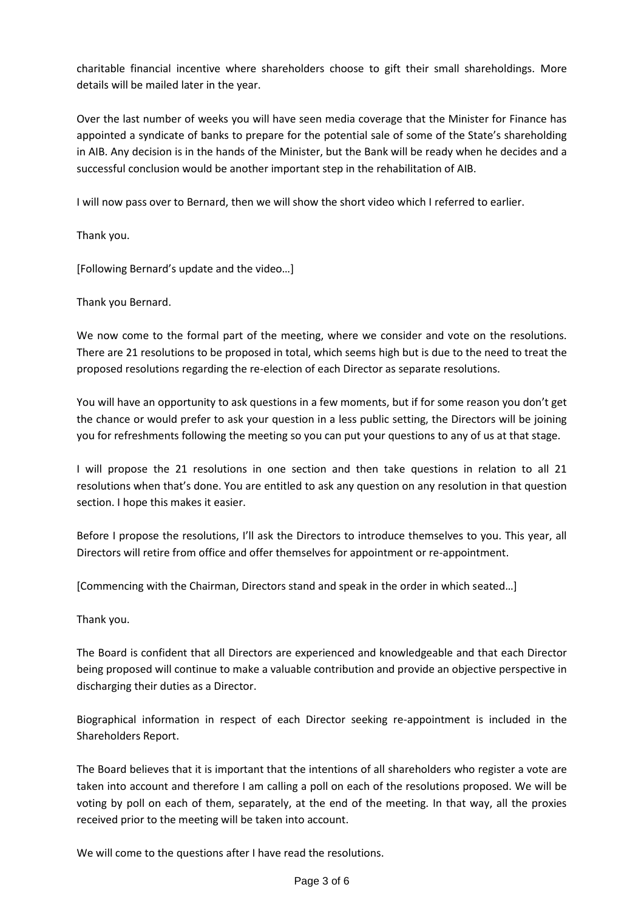charitable financial incentive where shareholders choose to gift their small shareholdings. More details will be mailed later in the year.

Over the last number of weeks you will have seen media coverage that the Minister for Finance has appointed a syndicate of banks to prepare for the potential sale of some of the State's shareholding in AIB. Any decision is in the hands of the Minister, but the Bank will be ready when he decides and a successful conclusion would be another important step in the rehabilitation of AIB.

I will now pass over to Bernard, then we will show the short video which I referred to earlier.

Thank you.

[Following Bernard's update and the video…]

Thank you Bernard.

We now come to the formal part of the meeting, where we consider and vote on the resolutions. There are 21 resolutions to be proposed in total, which seems high but is due to the need to treat the proposed resolutions regarding the re-election of each Director as separate resolutions.

You will have an opportunity to ask questions in a few moments, but if for some reason you don't get the chance or would prefer to ask your question in a less public setting, the Directors will be joining you for refreshments following the meeting so you can put your questions to any of us at that stage.

I will propose the 21 resolutions in one section and then take questions in relation to all 21 resolutions when that's done. You are entitled to ask any question on any resolution in that question section. I hope this makes it easier.

Before I propose the resolutions, I'll ask the Directors to introduce themselves to you. This year, all Directors will retire from office and offer themselves for appointment or re-appointment.

[Commencing with the Chairman, Directors stand and speak in the order in which seated…]

Thank you.

The Board is confident that all Directors are experienced and knowledgeable and that each Director being proposed will continue to make a valuable contribution and provide an objective perspective in discharging their duties as a Director.

Biographical information in respect of each Director seeking re-appointment is included in the Shareholders Report.

The Board believes that it is important that the intentions of all shareholders who register a vote are taken into account and therefore I am calling a poll on each of the resolutions proposed. We will be voting by poll on each of them, separately, at the end of the meeting. In that way, all the proxies received prior to the meeting will be taken into account.

We will come to the questions after I have read the resolutions.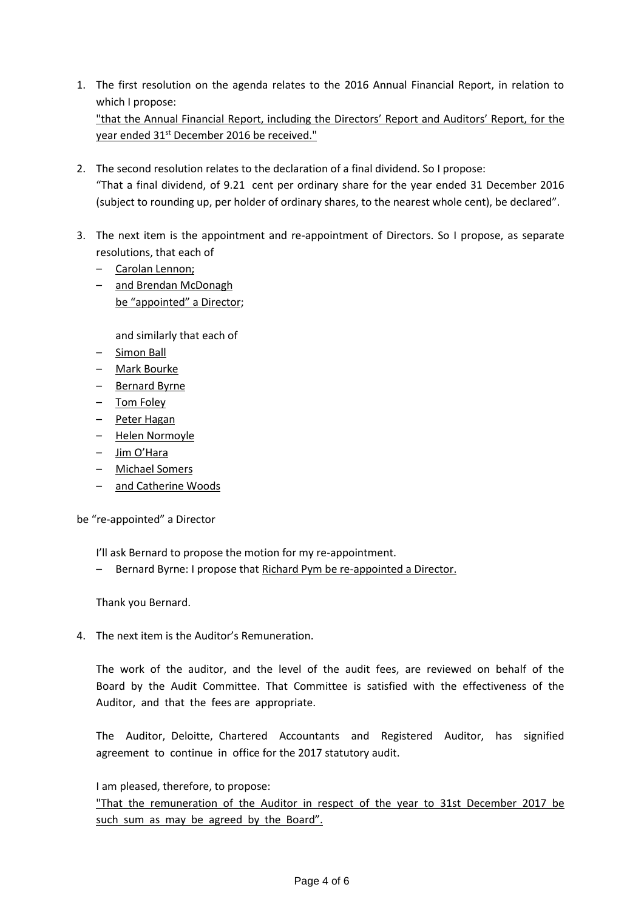- 1. The first resolution on the agenda relates to the 2016 Annual Financial Report, in relation to which I propose: "that the Annual Financial Report, including the Directors' Report and Auditors' Report, for the year ended 31<sup>st</sup> December 2016 be received."
- 2. The second resolution relates to the declaration of a final dividend. So I propose: "That a final dividend, of 9.21 cent per ordinary share for the year ended 31 December 2016 (subject to rounding up, per holder of ordinary shares, to the nearest whole cent), be declared".
- 3. The next item is the appointment and re-appointment of Directors. So I propose, as separate resolutions, that each of
	- Carolan Lennon;
	- and Brendan McDonagh be "appointed" a Director;

and similarly that each of

- Simon Ball
- Mark Bourke
- Bernard Byrne
- Tom Foley
- Peter Hagan
- Helen Normoyle
- Jim O'Hara
- Michael Somers
- and Catherine Woods

be "re-appointed" a Director

I'll ask Bernard to propose the motion for my re-appointment.

– Bernard Byrne: I propose that Richard Pym be re-appointed a Director.

Thank you Bernard.

4. The next item is the Auditor's Remuneration.

The work of the auditor, and the level of the audit fees, are reviewed on behalf of the Board by the Audit Committee. That Committee is satisfied with the effectiveness of the Auditor, and that the fees are appropriate.

The Auditor, Deloitte, Chartered Accountants and Registered Auditor, has signified agreement to continue in office for the 2017 statutory audit.

I am pleased, therefore, to propose:

"That the remuneration of the Auditor in respect of the year to 31st December 2017 be such sum as may be agreed by the Board".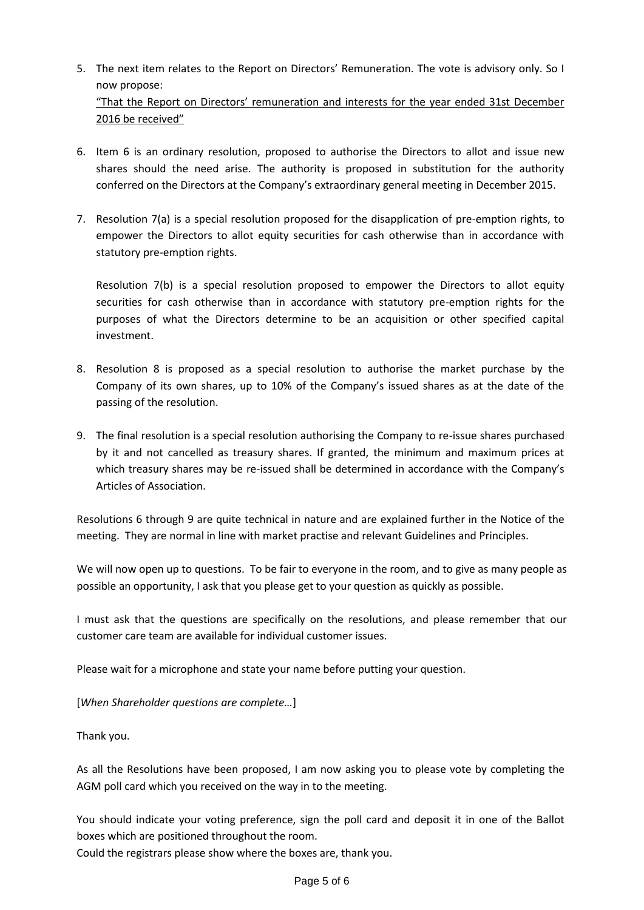- 5. The next item relates to the Report on Directors' Remuneration. The vote is advisory only. So I now propose: "That the Report on Directors' remuneration and interests for the year ended 31st December
	- 2016 be received"
- 6. Item 6 is an ordinary resolution, proposed to authorise the Directors to allot and issue new shares should the need arise. The authority is proposed in substitution for the authority conferred on the Directors at the Company's extraordinary general meeting in December 2015.
- 7. Resolution 7(a) is a special resolution proposed for the disapplication of pre-emption rights, to empower the Directors to allot equity securities for cash otherwise than in accordance with statutory pre-emption rights.

Resolution 7(b) is a special resolution proposed to empower the Directors to allot equity securities for cash otherwise than in accordance with statutory pre-emption rights for the purposes of what the Directors determine to be an acquisition or other specified capital investment.

- 8. Resolution 8 is proposed as a special resolution to authorise the market purchase by the Company of its own shares, up to 10% of the Company's issued shares as at the date of the passing of the resolution.
- 9. The final resolution is a special resolution authorising the Company to re-issue shares purchased by it and not cancelled as treasury shares. If granted, the minimum and maximum prices at which treasury shares may be re-issued shall be determined in accordance with the Company's Articles of Association.

Resolutions 6 through 9 are quite technical in nature and are explained further in the Notice of the meeting. They are normal in line with market practise and relevant Guidelines and Principles.

We will now open up to questions. To be fair to everyone in the room, and to give as many people as possible an opportunity, I ask that you please get to your question as quickly as possible.

I must ask that the questions are specifically on the resolutions, and please remember that our customer care team are available for individual customer issues.

Please wait for a microphone and state your name before putting your question.

[*When Shareholder questions are complete…*]

Thank you.

As all the Resolutions have been proposed, I am now asking you to please vote by completing the AGM poll card which you received on the way in to the meeting.

You should indicate your voting preference, sign the poll card and deposit it in one of the Ballot boxes which are positioned throughout the room.

Could the registrars please show where the boxes are, thank you.